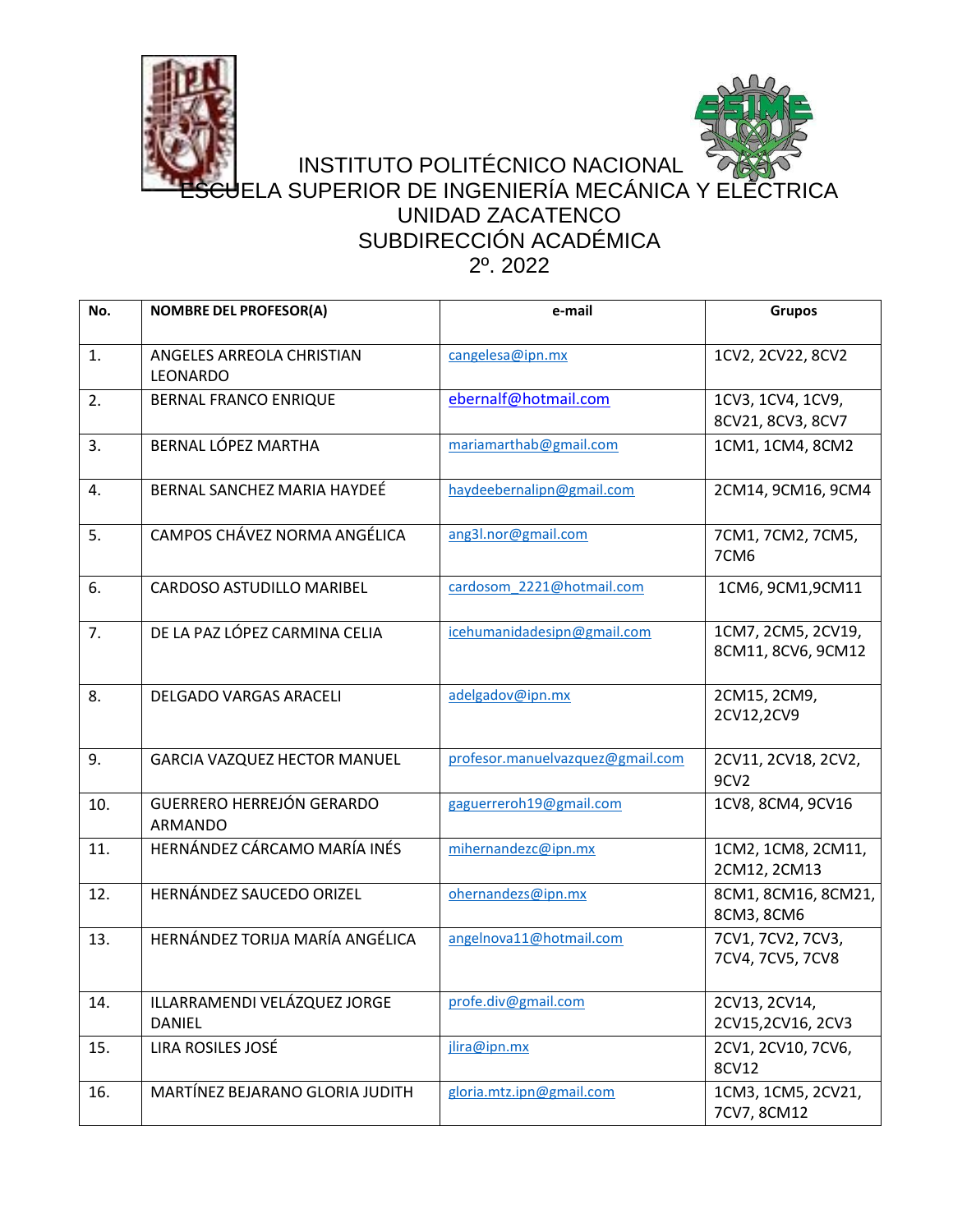



## INSTITUTO POLITÉCNICO NACIONAL JELA SUPERIOR DE INGENIERÍA MECÁNICA Y ELÉCTRICA UNIDAD ZACATENCO SUBDIRECCIÓN ACADÉMICA 2º. 2022

| No. | <b>NOMBRE DEL PROFESOR(A)</b>                      | e-mail                           | <b>Grupos</b>                            |
|-----|----------------------------------------------------|----------------------------------|------------------------------------------|
| 1.  | ANGELES ARREOLA CHRISTIAN<br><b>LEONARDO</b>       | cangelesa@ipn.mx                 | 1CV2, 2CV22, 8CV2                        |
| 2.  | <b>BERNAL FRANCO ENRIQUE</b>                       | ebernalf@hotmail.com             | 1CV3, 1CV4, 1CV9,<br>8CV21, 8CV3, 8CV7   |
| 3.  | BERNAL LÓPEZ MARTHA                                | mariamarthab@gmail.com           | 1CM1, 1CM4, 8CM2                         |
| 4.  | BERNAL SANCHEZ MARIA HAYDEÉ                        | haydeebernalipn@gmail.com        | 2CM14, 9CM16, 9CM4                       |
| 5.  | CAMPOS CHÁVEZ NORMA ANGÉLICA                       | ang3l.nor@gmail.com              | 7CM1, 7CM2, 7CM5,<br>7CM6                |
| 6.  | CARDOSO ASTUDILLO MARIBEL                          | cardosom 2221@hotmail.com        | 1CM6, 9CM1, 9CM11                        |
| 7.  | DE LA PAZ LÓPEZ CARMINA CELIA                      | icehumanidadesipn@gmail.com      | 1CM7, 2CM5, 2CV19,<br>8CM11, 8CV6, 9CM12 |
| 8.  | <b>DELGADO VARGAS ARACELI</b>                      | adelgadov@ipn.mx                 | 2CM15, 2CM9,<br>2CV12,2CV9               |
| 9.  | <b>GARCIA VAZQUEZ HECTOR MANUEL</b>                | profesor.manuelvazquez@gmail.com | 2CV11, 2CV18, 2CV2,<br>9CV <sub>2</sub>  |
| 10. | <b>GUERRERO HERREJÓN GERARDO</b><br><b>ARMANDO</b> | gaguerreroh19@gmail.com          | 1CV8, 8CM4, 9CV16                        |
| 11. | HERNÁNDEZ CÁRCAMO MARÍA INÉS                       | mihernandezc@ipn.mx              | 1CM2, 1CM8, 2CM11,<br>2CM12, 2CM13       |
| 12. | HERNÁNDEZ SAUCEDO ORIZEL                           | ohernandezs@ipn.mx               | 8CM1, 8CM16, 8CM21,<br>8CM3, 8CM6        |
| 13. | HERNÁNDEZ TORIJA MARÍA ANGÉLICA                    | angelnova11@hotmail.com          | 7CV1, 7CV2, 7CV3,<br>7CV4, 7CV5, 7CV8    |
| 14. | ILLARRAMENDI VELÁZQUEZ JORGE<br><b>DANIEL</b>      | profe.div@gmail.com              | 2CV13, 2CV14,<br>2CV15,2CV16, 2CV3       |
| 15. | LIRA ROSILES JOSÉ                                  | jlira@ipn.mx                     | 2CV1, 2CV10, 7CV6,<br>8CV12              |
| 16. | MARTÍNEZ BEJARANO GLORIA JUDITH                    | gloria.mtz.ipn@gmail.com         | 1CM3, 1CM5, 2CV21,<br>7CV7, 8CM12        |